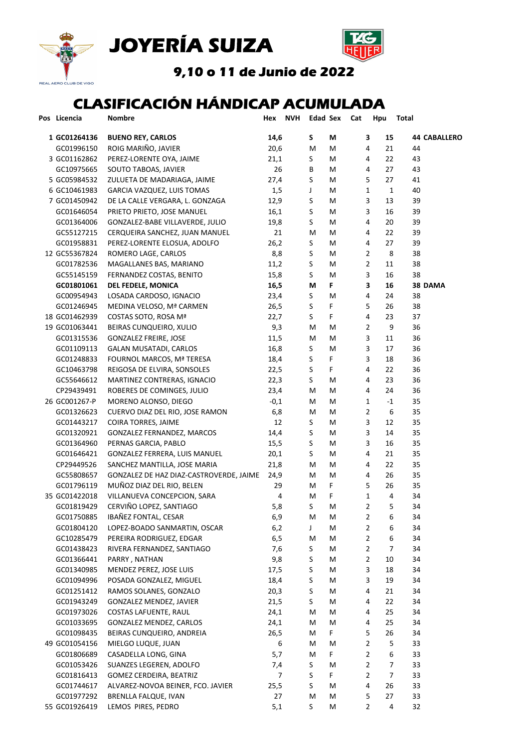





9,10 o 11 de Junio de 2022

## CLASIFICACIÓN HÁNDICAP ACUMULADA

| Pos Licencia  | <b>Nombre</b>                           | Hex    | <b>NVH</b> | <b>Edad Sex</b> |   | Cat | Hpu            | Total                |                     |
|---------------|-----------------------------------------|--------|------------|-----------------|---|-----|----------------|----------------------|---------------------|
| 1 GC01264136  | <b>BUENO REY, CARLOS</b>                | 14,6   |            | S               | M |     | 3              | 15                   | <b>44 CABALLERO</b> |
| GC01996150    | ROIG MARIÑO, JAVIER                     | 20,6   |            | M               | M |     | 4              | 21<br>44             |                     |
| 3 GC01162862  | PEREZ-LORENTE OYA, JAIME                | 21,1   |            | S               | M |     | 4              | 22<br>43             |                     |
| GC10975665    | SOUTO TABOAS, JAVIER                    | 26     |            | В               | M |     | 4              | 27<br>43             |                     |
| 5 GC05984532  | ZULUETA DE MADARIAGA, JAIME             | 27,4   |            | S               | M |     | 5              | 27<br>41             |                     |
| 6 GC10461983  | GARCIA VAZQUEZ, LUIS TOMAS              | 1,5    |            | J               | M |     | 1              | 1<br>40              |                     |
| 7 GC01450942  | DE LA CALLE VERGARA, L. GONZAGA         | 12,9   |            | S               | M |     | 3              | 13<br>39             |                     |
| GC01646054    | PRIETO PRIETO, JOSE MANUEL              | 16,1   |            | S               | M |     | 3              | 16<br>39             |                     |
| GC01364006    | GONZALEZ-BABE VILLAVERDE, JULIO         | 19,8   |            | S               | M |     | 4              | 20<br>39             |                     |
| GC55127215    | CERQUEIRA SANCHEZ, JUAN MANUEL          | 21     |            | М               | м |     | 4              | 22<br>39             |                     |
| GC01958831    | PEREZ-LORENTE ELOSUA, ADOLFO            | 26,2   |            | S               | м |     | 4              | 39<br>27             |                     |
| 12 GC55367824 | ROMERO LAGE, CARLOS                     | 8,8    |            | S               | м |     | $\overline{2}$ | 38<br>8              |                     |
| GC01782536    | MAGALLANES BAS, MARIANO                 | 11,2   |            | S               | м |     | 2              | 38<br>11             |                     |
| GC55145159    | FERNANDEZ COSTAS, BENITO                | 15,8   |            | S               | M |     | 3              | 16<br>38             |                     |
| GC01801061    | <b>DEL FEDELE, MONICA</b>               | 16,5   |            | M               | F |     | 3              | 16                   | 38 DAMA             |
| GC00954943    | LOSADA CARDOSO, IGNACIO                 | 23,4   |            | S               | M |     | 4              | 24<br>38             |                     |
| GC01246945    | MEDINA VELOSO, Mª CARMEN                | 26,5   |            | S               | F |     | 5              | 26<br>38             |                     |
| 18 GC01462939 | COSTAS SOTO, ROSA Mª                    | 22,7   |            | S               | F |     | 4              | 23<br>37             |                     |
| 19 GC01063441 | BEIRAS CUNQUEIRO, XULIO                 | 9,3    |            | M               | M |     | $\overline{2}$ | 9<br>36              |                     |
| GC01315536    | <b>GONZALEZ FREIRE, JOSE</b>            | 11,5   |            | м               | M |     | 3              | 11<br>36             |                     |
| GC01109113    | <b>GALAN MUSATADI, CARLOS</b>           | 16,8   |            | S               | M |     | 3              | 17<br>36             |                     |
| GC01248833    | FOURNOL MARCOS, Mª TERESA               | 18,4   |            | S               | F |     | 3              | 18<br>36             |                     |
| GC10463798    | REIGOSA DE ELVIRA, SONSOLES             | 22,5   |            | S               | F |     | 4              | 22<br>36             |                     |
| GC55646612    | MARTINEZ CONTRERAS, IGNACIO             | 22,3   |            | S               | M |     | 4              | 23<br>36             |                     |
| CP29439491    | ROBERES DE COMINGES, JULIO              | 23,4   |            | M               | M |     | 4              | 24<br>36             |                     |
| 26 GC001267-P | MORENO ALONSO, DIEGO                    | $-0,1$ |            | M               | M |     | 1              | 35<br>$-1$           |                     |
| GC01326623    | CUERVO DIAZ DEL RIO, JOSE RAMON         | 6,8    |            | M               | M |     | 2              | 6<br>35              |                     |
| GC01443217    | COIRA TORRES, JAIME                     | 12     |            | S               | M |     | 3              | 12<br>35             |                     |
| GC01320921    | GONZALEZ FERNANDEZ, MARCOS              | 14,4   |            | S               | M |     | 3              | 35<br>14             |                     |
| GC01364960    | PERNAS GARCIA, PABLO                    | 15,5   |            | S               | M |     | 3              | 16<br>35             |                     |
| GC01646421    | GONZALEZ FERRERA, LUIS MANUEL           | 20,1   |            | S               | M |     | 4              | 21<br>35             |                     |
| CP29449526    | SANCHEZ MANTILLA, JOSE MARIA            | 21,8   |            | м               | M |     | 4              | 22<br>35             |                     |
| GC55808657    | GONZALEZ DE HAZ DIAZ-CASTROVERDE, JAIME | 24,9   |            | М               | M |     | 4              | 35<br>26             |                     |
| GC01796119    | MUÑOZ DIAZ DEL RIO, BELEN               | 29     |            | М               | F |     | 5              | 35<br>26             |                     |
| 35 GC01422018 | VILLANUEVA CONCEPCION, SARA             | 4      |            | М               | F |     | 1              | 34<br>4              |                     |
| GC01819429    | CERVIÑO LOPEZ, SANTIAGO                 | 5,8    |            | S               | M |     | 2              | 5<br>34              |                     |
| GC01750885    | IBAÑEZ FONTAL, CESAR                    | 6,9    |            | M               | M |     | 2              | 6<br>34              |                     |
| GC01804120    | LOPEZ-BOADO SANMARTIN, OSCAR            | 6,2    |            | J               | M |     | $\overline{2}$ | 6<br>34              |                     |
| GC10285479    | PEREIRA RODRIGUEZ, EDGAR                | 6, 5   |            | M               | M |     | $\overline{2}$ | 6<br>34              |                     |
| GC01438423    | RIVERA FERNANDEZ, SANTIAGO              | 7,6    |            | S               | M |     | 2              | $\overline{7}$<br>34 |                     |
| GC01366441    | PARRY, NATHAN                           | 9,8    |            | S               | M |     | 2              | 10<br>34             |                     |
| GC01340985    | MENDEZ PEREZ, JOSE LUIS                 | 17,5   |            | S               | M |     | 3              | 18<br>34             |                     |
| GC01094996    | POSADA GONZALEZ, MIGUEL                 | 18,4   |            | S               | M |     | 3              | 19<br>34             |                     |
| GC01251412    | RAMOS SOLANES, GONZALO                  | 20,3   |            | S               | M |     | 4              | 21<br>34             |                     |
| GC01943249    | GONZALEZ MENDEZ, JAVIER                 | 21,5   |            | S               | M |     | 4              | 22<br>34             |                     |
| GC01973026    | COSTAS LAFUENTE, RAUL                   | 24,1   |            | M               | M |     | 4              | 25<br>34             |                     |
| GC01033695    | GONZALEZ MENDEZ, CARLOS                 | 24,1   |            | м               | M |     | 4              | 25<br>34             |                     |
| GC01098435    | BEIRAS CUNQUEIRO, ANDREIA               | 26,5   |            | M               | F |     | 5              | 26<br>34             |                     |
| 49 GC01054156 | MIELGO LUQUE, JUAN                      | 6      |            | M               | M |     | 2              | 5<br>33              |                     |
| GC01806689    | CASADELLA LONG, GINA                    | 5,7    |            | M               | F |     | 2              | 6<br>33              |                     |
| GC01053426    | SUANZES LEGEREN, ADOLFO                 | 7,4    |            | S               | M |     | 2              | 33<br>7              |                     |
| GC01816413    | GOMEZ CERDEIRA, BEATRIZ                 | 7      |            | S               | F |     | 2              | 33<br>7              |                     |
| GC01744617    | ALVAREZ-NOVOA BEINER, FCO. JAVIER       | 25,5   |            | S               | M |     | 4              | 26<br>33             |                     |
| GC01977292    | BRENLLA FALQUE, IVAN                    | 27     |            | M               | M |     | 5              | 27<br>33             |                     |
| 55 GC01926419 | LEMOS PIRES, PEDRO                      | 5,1    |            | S.              | M |     | $\overline{2}$ | 32<br>4              |                     |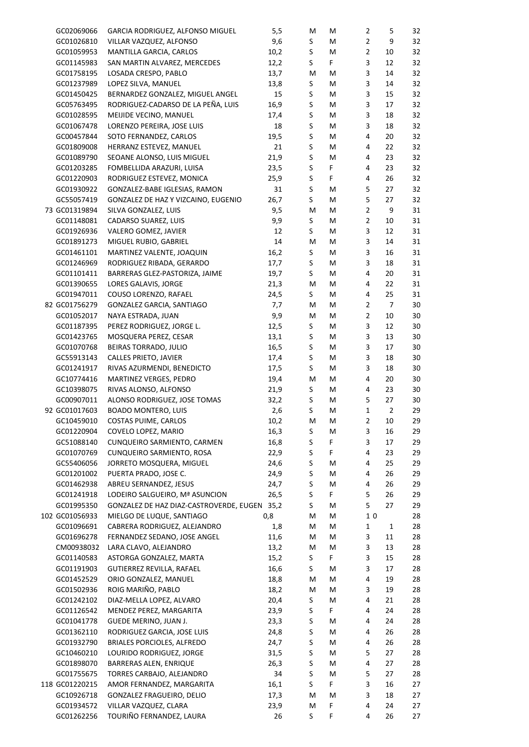| GC02069066     | GARCIA RODRIGUEZ, ALFONSO MIGUEL             | 5,5  | M       | M  | $\overline{2}$ | 5              | 32 |
|----------------|----------------------------------------------|------|---------|----|----------------|----------------|----|
|                |                                              | 9,6  |         |    |                | 9              |    |
| GC01026810     | VILLAR VAZQUEZ, ALFONSO                      |      | S       | M  | $\overline{2}$ |                | 32 |
| GC01059953     | MANTILLA GARCIA, CARLOS                      | 10,2 | S       | M  | $\overline{2}$ | 10             | 32 |
| GC01145983     | SAN MARTIN ALVAREZ, MERCEDES                 | 12,2 | S       | F. | 3              | 12             | 32 |
| GC01758195     | LOSADA CRESPO, PABLO                         | 13,7 | M       | M  | 3              | 14             | 32 |
| GC01237989     | LOPEZ SILVA, MANUEL                          | 13,8 | S       | M  | 3              | 14             | 32 |
| GC01450425     | BERNARDEZ GONZALEZ, MIGUEL ANGEL             | 15   | S       | M  | 3              | 15             | 32 |
| GC05763495     | RODRIGUEZ-CADARSO DE LA PEÑA, LUIS           | 16,9 | S       | M  | 3              | 17             | 32 |
| GC01028595     | MEIJIDE VECINO, MANUEL                       | 17,4 | S       | M  | 3              | 18             | 32 |
| GC01067478     | LORENZO PEREIRA, JOSE LUIS                   | 18   | S       | M  | 3              | 18             | 32 |
| GC00457844     | SOTO FERNANDEZ, CARLOS                       | 19,5 | S       | M  | 4              | 20             | 32 |
| GC01809008     | HERRANZ ESTEVEZ, MANUEL                      | 21   | S       | M  | 4              | 22             | 32 |
| GC01089790     | SEOANE ALONSO, LUIS MIGUEL                   | 21,9 | S       | M  | $\overline{4}$ | 23             | 32 |
|                |                                              |      |         |    |                |                |    |
| GC01203285     | FOMBELLIDA ARAZURI, LUISA                    | 23,5 | S       | F  | $\overline{4}$ | 23             | 32 |
| GC01220903     | RODRIGUEZ ESTEVEZ, MONICA                    | 25,9 | S       | F  | $\overline{4}$ | 26             | 32 |
| GC01930922     | GONZALEZ-BABE IGLESIAS, RAMON                | 31   | S       | M  | 5              | 27             | 32 |
| GC55057419     | GONZALEZ DE HAZ Y VIZCAINO, EUGENIO          | 26,7 | S       | M  | 5              | 27             | 32 |
| 73 GC01319894  | SILVA GONZALEZ, LUIS                         | 9,5  | M       | M  | $\overline{2}$ | 9              | 31 |
| GC01148081     | CADARSO SUAREZ, LUIS                         | 9,9  | S       | M  | $\overline{2}$ | 10             | 31 |
| GC01926936     | VALERO GOMEZ, JAVIER                         | 12   | S       | м  | 3              | 12             | 31 |
| GC01891273     | MIGUEL RUBIO, GABRIEL                        | 14   | м       | м  | 3              | 14             | 31 |
| GC01461101     | MARTINEZ VALENTE, JOAQUIN                    | 16,2 | S       | м  | 3              | 16             | 31 |
| GC01246969     | RODRIGUEZ RIBADA, GERARDO                    | 17,7 | S       | м  | 3              | 18             | 31 |
| GC01101411     |                                              | 19,7 | S       | м  | 4              | 20             | 31 |
|                | BARRERAS GLEZ-PASTORIZA, JAIME               |      |         |    |                |                |    |
| GC01390655     | LORES GALAVIS, JORGE                         | 21,3 | M       | м  | $\overline{4}$ | 22             | 31 |
| GC01947011     | COUSO LORENZO, RAFAEL                        | 24,5 | S       | м  | $\overline{4}$ | 25             | 31 |
| 82 GC01756279  | GONZALEZ GARCIA, SANTIAGO                    | 7,7  | M       | M  | $\overline{2}$ | $\overline{7}$ | 30 |
| GC01052017     | NAYA ESTRADA, JUAN                           | 9,9  | M       | м  | $\overline{2}$ | 10             | 30 |
| GC01187395     | PEREZ RODRIGUEZ, JORGE L.                    | 12,5 | S       | м  | 3              | 12             | 30 |
| GC01423765     | MOSQUERA PEREZ, CESAR                        | 13,1 | S       | м  | 3              | 13             | 30 |
| GC01070768     | BEIRAS TORRADO, JULIO                        | 16,5 | $\sf S$ | м  | 3              | 17             | 30 |
| GC55913143     | CALLES PRIETO, JAVIER                        | 17,4 | S       | м  | $\mathsf 3$    | 18             | 30 |
| GC01241917     | RIVAS AZURMENDI, BENEDICTO                   | 17,5 | S       | м  | 3              | 18             | 30 |
| GC10774416     | MARTINEZ VERGES, PEDRO                       | 19,4 | M       | м  | 4              | 20             | 30 |
|                |                                              |      |         |    | $\overline{4}$ |                |    |
| GC10398075     | RIVAS ALONSO, ALFONSO                        | 21,9 | S       | м  |                | 23             | 30 |
| GC00907011     | ALONSO RODRIGUEZ, JOSE TOMAS                 | 32,2 | S       | м  | 5              | 27             | 30 |
| 92 GC01017603  | <b>BOADO MONTERO, LUIS</b>                   | 2,6  | S       | м  | $\mathbf 1$    | $\overline{2}$ | 29 |
| GC10459010     | COSTAS PUIME, CARLOS                         | 10,2 | M       | М  | 2              | 10             | 29 |
| GC01220904     | COVELO LOPEZ, MARIO                          | 16,3 | S       | М  | 3              | 16             | 29 |
| GC51088140     | CUNQUEIRO SARMIENTO, CARMEN                  | 16,8 | S       | F. | 3              | 17             | 29 |
| GC01070769     | CUNQUEIRO SARMIENTO, ROSA                    | 22,9 | S       | F. | 4              | 23             | 29 |
| GC55406056     | JORRETO MOSQUERA, MIGUEL                     | 24,6 | S       | М  | 4              | 25             | 29 |
| GC01201002     | PUERTA PRADO, JOSE C.                        | 24,9 | S       | M  | 4              | 26             | 29 |
| GC01462938     | ABREU SERNANDEZ, JESUS                       | 24,7 | $\sf S$ | M  | 4              | 26             | 29 |
| GC01241918     | LODEIRO SALGUEIRO, Mª ASUNCION               | 26,5 | S       | F. | 5              | 26             | 29 |
| GC01995350     |                                              |      | S       | M  | 5              | 27             | 29 |
|                | GONZALEZ DE HAZ DIAZ-CASTROVERDE, EUGEN 35,2 |      |         |    |                |                |    |
| 102 GC01056933 | MIELGO DE LUQUE, SANTIAGO                    | 0,8  | M       | M  | 10             |                | 28 |
| GC01096691     | CABRERA RODRIGUEZ, ALEJANDRO                 | 1,8  | М       | M  | $\mathbf{1}$   | $\mathbf 1$    | 28 |
| GC01696278     | FERNANDEZ SEDANO, JOSE ANGEL                 | 11,6 | м       | M  | 3              | 11             | 28 |
| CM00938032     | LARA CLAVO, ALEJANDRO                        | 13,2 | M       | M  | 3              | 13             | 28 |
| GC01140583     | ASTORGA GONZALEZ, MARTA                      | 15,2 | S       | F. | 3              | 15             | 28 |
| GC01191903     | GUTIERREZ REVILLA, RAFAEL                    | 16,6 | S       | M  | 3              | 17             | 28 |
| GC01452529     | ORIO GONZALEZ, MANUEL                        | 18,8 | M       | M  | 4              | 19             | 28 |
| GC01502936     | ROIG MARIÑO, PABLO                           | 18,2 | M       | M  | 3              | 19             | 28 |
| GC01242102     | DIAZ-MELLA LOPEZ, ALVARO                     | 20,4 | S       | M  | 4              | 21             | 28 |
| GC01126542     | MENDEZ PEREZ, MARGARITA                      | 23,9 | S       | F. | 4              | 24             | 28 |
|                |                                              |      |         |    | 4              |                |    |
| GC01041778     | GUEDE MERINO, JUAN J.                        | 23,3 | S       | M  |                | 24             | 28 |
| GC01362110     | RODRIGUEZ GARCIA, JOSE LUIS                  | 24,8 | S       | M  | 4              | 26             | 28 |
| GC01932790     | BRIALES PORCIOLES, ALFREDO                   | 24,7 | S       | M  | 4              | 26             | 28 |
| GC10460210     | LOURIDO RODRIGUEZ, JORGE                     | 31,5 | S       | M  | 5              | 27             | 28 |
| GC01898070     | BARRERAS ALEN, ENRIQUE                       | 26,3 | S       | M  | 4              | 27             | 28 |
| GC01755675     | TORRES CARBAJO, ALEJANDRO                    | 34   | S       | M  | 5              | 27             | 28 |
| 118 GC01220215 | AMOR FERNANDEZ, MARGARITA                    | 16,1 | S       | F. | 3              | 16             | 27 |
| GC10926718     | GONZALEZ FRAGUEIRO, DELIO                    | 17,3 | M       | M  | 3              | 18             | 27 |
| GC01934572     | VILLAR VAZQUEZ, CLARA                        | 23,9 | M       | F  | 4              | 24             | 27 |
| GC01262256     | TOURIÑO FERNANDEZ, LAURA                     | 26   | S       | F  | 4              | 26             | 27 |
|                |                                              |      |         |    |                |                |    |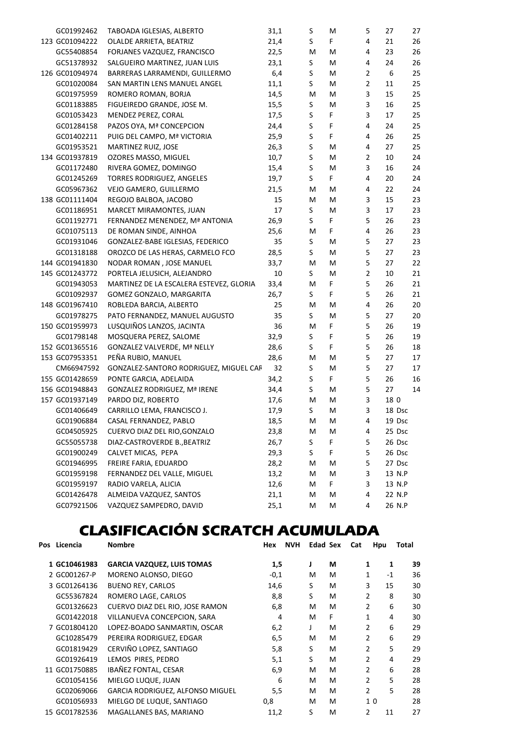| GC01992462     | TABOADA IGLESIAS, ALBERTO               | 31,1 | S       | М  | 5              | 27     | 27 |
|----------------|-----------------------------------------|------|---------|----|----------------|--------|----|
| 123 GC01094222 | OLALDE ARRIETA, BEATRIZ                 | 21,4 | S       | F. | 4              | 21     | 26 |
| GC55408854     | FORJANES VAZQUEZ, FRANCISCO             | 22,5 | M       | М  | 4              | 23     | 26 |
| GC51378932     | SALGUEIRO MARTINEZ, JUAN LUIS           | 23,1 | S       | М  | 4              | 24     | 26 |
| 126 GC01094974 | BARRERAS LARRAMENDI, GUILLERMO          | 6,4  | $\sf S$ | М  | $\overline{2}$ | 6      | 25 |
| GC01020084     | SAN MARTIN LENS MANUEL ANGEL            | 11,1 | $\sf S$ | М  | $\overline{2}$ | 11     | 25 |
| GC01975959     | ROMERO ROMAN, BORJA                     | 14,5 | M       | М  | 3              | 15     | 25 |
| GC01183885     | FIGUEIREDO GRANDE, JOSE M.              | 15,5 | S       | М  | 3              | 16     | 25 |
| GC01053423     | MENDEZ PEREZ, CORAL                     | 17,5 | $\sf S$ | F  | 3              | 17     | 25 |
| GC01284158     | PAZOS OYA, Mª CONCEPCION                | 24,4 | $\sf S$ | F  | 4              | 24     | 25 |
| GC01402211     | PUIG DEL CAMPO, Mª VICTORIA             | 25,9 | $\sf S$ | F  | 4              | 26     | 25 |
| GC01953521     | MARTINEZ RUIZ, JOSE                     | 26,3 | $\sf S$ | М  | 4              | 27     | 25 |
| 134 GC01937819 | OZORES MASSO, MIGUEL                    | 10,7 | $\sf S$ | М  | $\overline{2}$ | 10     | 24 |
| GC01172480     | RIVERA GOMEZ, DOMINGO                   | 15,4 | $\sf S$ | М  | 3              | 16     | 24 |
| GC01245269     | TORRES RODRIGUEZ, ANGELES               | 19,7 | $\sf S$ | F  | 4              | 20     | 24 |
| GC05967362     | VEJO GAMERO, GUILLERMO                  | 21,5 | М       | М  | 4              | 22     | 24 |
| 138 GC01111404 | REGOJO BALBOA, JACOBO                   | 15   | м       | М  | 3              | 15     | 23 |
| GC01186951     | MARCET MIRAMONTES, JUAN                 | 17   | S       | М  | 3              | 17     | 23 |
| GC01192771     | FERNANDEZ MENENDEZ, Mª ANTONIA          | 26,9 | S       | F  | 5              | 26     | 23 |
| GC01075113     | DE ROMAN SINDE, AINHOA                  | 25,6 | M       | F  | 4              | 26     | 23 |
| GC01931046     | GONZALEZ-BABE IGLESIAS, FEDERICO        | 35   | S       | М  | 5              | 27     | 23 |
| GC01318188     | OROZCO DE LAS HERAS, CARMELO FCO        | 28,5 | S       | М  | 5              | 27     | 23 |
| 144 GC01941830 | NODAR ROMAN, JOSE MANUEL                | 33,7 | м       | М  | 5              | 27     | 22 |
| 145 GC01243772 | PORTELA JELUSICH, ALEJANDRO             | 10   | S       | М  | $\overline{2}$ | 10     | 21 |
| GC01943053     | MARTINEZ DE LA ESCALERA ESTEVEZ, GLORIA | 33,4 | м       | F. | 5              | 26     | 21 |
| GC01092937     | GOMEZ GONZALO, MARGARITA                | 26,7 | S       | F  | 5              | 26     | 21 |
| 148 GC01967410 | ROBLEDA BARCIA, ALBERTO                 | 25   | м       | М  | 4              | 26     | 20 |
| GC01978275     | PATO FERNANDEZ, MANUEL AUGUSTO          | 35   | S       | М  | 5              | 27     | 20 |
| 150 GC01959973 | LUSQUIÑOS LANZOS, JACINTA               | 36   | м       | F  | 5              | 26     | 19 |
| GC01798148     | MOSQUERA PEREZ, SALOME                  | 32,9 | S       | F  | 5              | 26     | 19 |
| 152 GC01365516 | <b>GONZALEZ VALVERDE, Mª NELLY</b>      | 28,6 | S       | F  | 5              | 26     | 18 |
| 153 GC07953351 | PEÑA RUBIO, MANUEL                      | 28,6 | М       | М  | 5              | 27     | 17 |
| CM66947592     | GONZALEZ-SANTORO RODRIGUEZ, MIGUEL CAF  | 32   | S       | М  | 5              | 27     | 17 |
| 155 GC01428659 | PONTE GARCIA, ADELAIDA                  | 34,2 | S       | F. | 5              | 26     | 16 |
| 156 GC01948843 | <b>GONZALEZ RODRIGUEZ, Mª IRENE</b>     | 34,4 | S       | М  | 5              | 27     | 14 |
| 157 GC01937149 | PARDO DIZ, ROBERTO                      | 17,6 | M       | М  | 3              | 18 0   |    |
| GC01406649     | CARRILLO LEMA, FRANCISCO J.             | 17,9 | S       | М  | 3              | 18 Dsc |    |
| GC01906884     | CASAL FERNANDEZ, PABLO                  | 18,5 | M       | M  | 4              | 19 Dsc |    |
| GC04505925     | CUERVO DIAZ DEL RIO, GONZALO            | 23,8 | M       | M  | 4              | 25 Dsc |    |
| GC55055738     | DIAZ-CASTROVERDE B., BEATRIZ            | 26,7 | S       | F  | 5              | 26 Dsc |    |
| GC01900249     | CALVET MICAS, PEPA                      | 29,3 | S       | F  | 5              | 26 Dsc |    |
| GC01946995     | FREIRE FARIA, EDUARDO                   | 28,2 | Μ       | м  | 5              | 27 Dsc |    |
| GC01959198     | FERNANDEZ DEL VALLE, MIGUEL             | 13,2 | M       | M  | 3              | 13 N.P |    |
| GC01959197     | RADIO VARELA, ALICIA                    | 12,6 | М       | F. | 3              | 13 N.P |    |
| GC01426478     | ALMEIDA VAZQUEZ, SANTOS                 | 21,1 | M       | м  | 4              | 22 N.P |    |
| GC07921506     | VAZQUEZ SAMPEDRO, DAVID                 | 25,1 | M       | M  | 4              | 26 N.P |    |

## CLASIFICACIÓN SCRATCH ACUMULADA

| Pos Licencia  | <b>Nombre</b>                           | <b>NVH</b><br>Hex |    | Edad Sex | Cat            | Hpu            | Total |
|---------------|-----------------------------------------|-------------------|----|----------|----------------|----------------|-------|
| 1 GC10461983  | <b>GARCIA VAZQUEZ, LUIS TOMAS</b>       | 1,5               | J. | м        | 1              | 1              | 39    |
| 2 GC001267-P  | MORENO ALONSO, DIEGO                    | $-0,1$            | M  | M        | $\mathbf{1}$   | $-1$           | 36    |
| 3 GC01264136  | <b>BUENO REY, CARLOS</b>                | 14,6              | S  | M        | 3              | 15             | 30    |
| GC55367824    | ROMERO LAGE, CARLOS                     | 8,8               | S  | M        | 2              | 8              | 30    |
| GC01326623    | CUERVO DIAZ DEL RIO, JOSE RAMON         | 6,8               | M  | M        | $\overline{2}$ | 6              | 30    |
| GC01422018    | VILLANUEVA CONCEPCION, SARA             | 4                 | M  | F        | 1              | 4              | 30    |
| 7 GC01804120  | LOPEZ-BOADO SANMARTIN, OSCAR            | 6,2               | J  | M        | $\overline{2}$ | 6              | 29    |
| GC10285479    | PEREIRA RODRIGUEZ, EDGAR                | 6,5               | M  | M        | 2              | 6              | 29    |
| GC01819429    | CERVIÑO LOPEZ, SANTIAGO                 | 5,8               | S  | M        | $\overline{2}$ | 5              | 29    |
| GC01926419    | LEMOS PIRES, PEDRO                      | 5,1               | S  | M        | $\mathcal{P}$  | 4              | 29    |
| 11 GC01750885 | IBAÑEZ FONTAL, CESAR                    | 6,9               | M  | M        | $\overline{2}$ | 6              | 28    |
| GC01054156    | MIELGO LUQUE, JUAN                      | 6                 | M  | M        | $\overline{2}$ | 5              | 28    |
| GC02069066    | <b>GARCIA RODRIGUEZ, ALFONSO MIGUEL</b> | 5,5               | M  | M        | 2              | 5              | 28    |
| GC01056933    | MIELGO DE LUQUE, SANTIAGO               | 0,8               | М  | M        |                | 1 <sub>0</sub> | 28    |
| 15 GC01782536 | MAGALLANES BAS, MARIANO                 | 11,2              | S  | M        | 2              | 11             | 27    |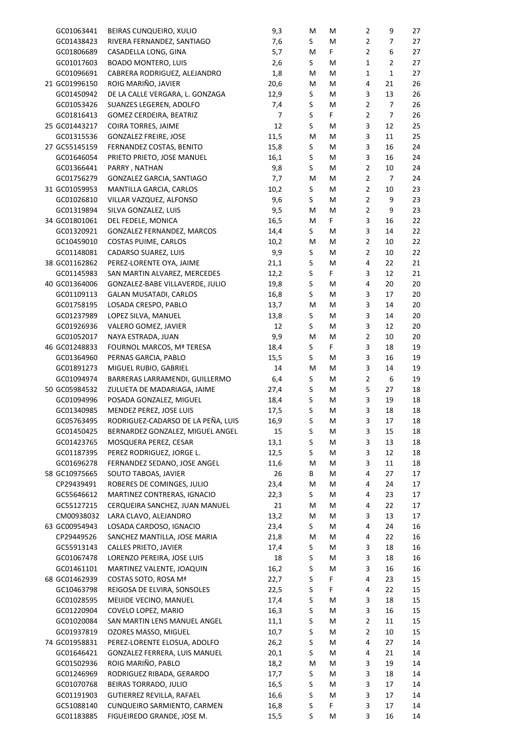| GC01063441    | BEIRAS CUNQUEIRO, XULIO            | 9,3            | Μ  | Μ  | $\overline{2}$ | 9              | 27 |
|---------------|------------------------------------|----------------|----|----|----------------|----------------|----|
| GC01438423    | RIVERA FERNANDEZ, SANTIAGO         | 7,6            | S. | M  | $\overline{2}$ | 7              | 27 |
| GC01806689    | CASADELLA LONG, GINA               | 5,7            | M  | F. | $\overline{2}$ | 6              | 27 |
| GC01017603    | <b>BOADO MONTERO, LUIS</b>         | 2,6            | S  | M  | $\mathbf{1}$   | $\mathbf 2$    | 27 |
| GC01096691    | CABRERA RODRIGUEZ, ALEJANDRO       | 1,8            | M  | M  | $\mathbf 1$    | $\mathbf 1$    | 27 |
| 21 GC01996150 | ROIG MARIÑO, JAVIER                | 20,6           | M  | M  | 4              | 21             | 26 |
| GC01450942    | DE LA CALLE VERGARA, L. GONZAGA    | 12,9           | S  | M  | 3              | 13             | 26 |
| GC01053426    | SUANZES LEGEREN, ADOLFO            | 7,4            | S  | M  | $\overline{2}$ | $\overline{7}$ | 26 |
| GC01816413    | GOMEZ CERDEIRA, BEATRIZ            | $\overline{7}$ | S  | F. | $\overline{2}$ | $\overline{7}$ | 26 |
| 25 GC01443217 | COIRA TORRES, JAIME                | 12             | S  | M  | 3              | 12             | 25 |
| GC01315536    | <b>GONZALEZ FREIRE, JOSE</b>       | 11,5           | M  | M  | 3              | 11             | 25 |
| 27 GC55145159 | FERNANDEZ COSTAS, BENITO           | 15,8           | S  | M  | 3              | 16             | 24 |
| GC01646054    | PRIETO PRIETO, JOSE MANUEL         | 16,1           | S  | M  | 3              | 16             | 24 |
| GC01366441    | PARRY, NATHAN                      | 9,8            | S  | M  | $\mathbf 2$    | 10             | 24 |
| GC01756279    | GONZALEZ GARCIA, SANTIAGO          | 7,7            | M  | M  | $\overline{2}$ | 7              | 24 |
| 31 GC01059953 | MANTILLA GARCIA, CARLOS            | 10,2           | S  | M  | $\overline{2}$ | 10             | 23 |
| GC01026810    | VILLAR VAZQUEZ, ALFONSO            | 9,6            | S  | M  | $\overline{2}$ | 9              | 23 |
| GC01319894    | SILVA GONZALEZ, LUIS               | 9,5            | M  | M  | $\overline{2}$ | 9              | 23 |
| 34 GC01801061 | DEL FEDELE, MONICA                 | 16,5           | M  | F  | 3              | 16             | 22 |
| GC01320921    | GONZALEZ FERNANDEZ, MARCOS         | 14,4           | S  | M  | 3              | 14             | 22 |
| GC10459010    | COSTAS PUIME, CARLOS               | 10,2           | M  | M  | $\overline{2}$ | 10             | 22 |
| GC01148081    | CADARSO SUAREZ, LUIS               | 9,9            | S  | Μ  | $\overline{2}$ | 10             | 22 |
| 38 GC01162862 | PEREZ-LORENTE OYA, JAIME           | 21,1           | S  | M  | 4              | 22             | 21 |
| GC01145983    | SAN MARTIN ALVAREZ, MERCEDES       | 12,2           | S  | F. | 3              | 12             | 21 |
| 40 GC01364006 | GONZALEZ-BABE VILLAVERDE, JULIO    | 19,8           | S  | M  | 4              | 20             | 20 |
| GC01109113    | GALAN MUSATADI, CARLOS             | 16,8           | S  | M  | 3              | 17             | 20 |
| GC01758195    | LOSADA CRESPO, PABLO               | 13,7           | M  | M  | 3              | 14             | 20 |
| GC01237989    | LOPEZ SILVA, MANUEL                | 13,8           | S  | M  | 3              | 14             | 20 |
| GC01926936    | VALERO GOMEZ, JAVIER               | 12             | S  | Μ  | 3              | 12             | 20 |
| GC01052017    | NAYA ESTRADA, JUAN                 | 9,9            | M  | M  | $\overline{2}$ | 10             | 20 |
| 46 GC01248833 | FOURNOL MARCOS, Mª TERESA          | 18,4           | S  | F  | 3              | 18             | 19 |
| GC01364960    | PERNAS GARCIA, PABLO               | 15,5           | S  | Μ  | 3              | 16             | 19 |
| GC01891273    | MIGUEL RUBIO, GABRIEL              | 14             | M  | Μ  | 3              | 14             | 19 |
| GC01094974    | BARRERAS LARRAMENDI, GUILLERMO     | 6,4            | S  | Μ  | $\overline{2}$ | 6              | 19 |
| 50 GC05984532 | ZULUETA DE MADARIAGA, JAIME        | 27,4           | S  | M  | 5              | 27             | 18 |
| GC01094996    | POSADA GONZALEZ, MIGUEL            | 18,4           | S  | м  | 3              | 19             | 18 |
| GC01340985    | MENDEZ PEREZ, JOSE LUIS            | 17,5           | S  | Μ  | 3              | 18             | 18 |
| GC05763495    | RODRIGUEZ-CADARSO DE LA PEÑA, LUIS | 16,9           | S  | М  | 3              | 17             | 18 |
| GC01450425    | BERNARDEZ GONZALEZ, MIGUEL ANGEL   | 15             | S  | Μ  | 3              | 15             | 18 |
| GC01423765    | MOSQUERA PEREZ, CESAR              | 13,1           | S  | M  | 3              | 13             | 18 |
| GC01187395    | PEREZ RODRIGUEZ, JORGE L.          | 12,5           | S  | M  | 3              | 12             | 18 |
| GC01696278    | FERNANDEZ SEDANO, JOSE ANGEL       | 11,6           | M  | M  | 3              | 11             | 18 |
| 58 GC10975665 | SOUTO TABOAS, JAVIER               | 26             | В  | M  | 4              | 27             | 17 |
| CP29439491    | ROBERES DE COMINGES, JULIO         | 23,4           | M  | M  | 4              | 24             | 17 |
| GC55646612    | MARTINEZ CONTRERAS, IGNACIO        | 22,3           | S. | M  | 4              | 23             | 17 |
| GC55127215    | CERQUEIRA SANCHEZ, JUAN MANUEL     | 21             | M  | M  | 4              | 22             | 17 |
| CM00938032    | LARA CLAVO, ALEJANDRO              | 13,2           | M  | M  | 3              | 13             | 17 |
| 63 GC00954943 | LOSADA CARDOSO, IGNACIO            | 23,4           | S. | M  | 4              | 24             | 16 |
| CP29449526    | SANCHEZ MANTILLA, JOSE MARIA       | 21,8           | M  | M  | 4              | 22             | 16 |
| GC55913143    | CALLES PRIETO, JAVIER              | 17,4           | S  | M  | 3              | 18             | 16 |
| GC01067478    | LORENZO PEREIRA, JOSE LUIS         | 18             | S  | M  | 3              | 18             | 16 |
| GC01461101    | MARTINEZ VALENTE, JOAQUIN          | 16,2           | S  | M  | 3              | 16             | 16 |
| 68 GC01462939 | COSTAS SOTO, ROSA Mª               | 22,7           | S  | F  | 4              | 23             | 15 |
| GC10463798    | REIGOSA DE ELVIRA, SONSOLES        | 22,5           | S  | F  | 4              | 22             | 15 |
| GC01028595    | MEIJIDE VECINO, MANUEL             | 17,4           | S  | М  | 3              | 18             | 15 |
| GC01220904    | COVELO LOPEZ, MARIO                | 16,3           | S  | M  | 3              | 16             | 15 |
| GC01020084    | SAN MARTIN LENS MANUEL ANGEL       | 11,1           | S  | M  | $\overline{2}$ | 11             | 15 |
| GC01937819    | OZORES MASSO, MIGUEL               | 10,7           | S  | M  | $\overline{2}$ | 10             | 15 |
| 74 GC01958831 | PEREZ-LORENTE ELOSUA, ADOLFO       | 26,2           | S  | M  | 4              | 27             | 14 |
| GC01646421    | GONZALEZ FERRERA, LUIS MANUEL      | 20,1           | S  | M  | 4              | 21             | 14 |
| GC01502936    | ROIG MARIÑO, PABLO                 | 18,2           | M  | M  | 3              | 19             | 14 |
| GC01246969    | RODRIGUEZ RIBADA, GERARDO          | 17,7           | S  | M  | 3              | 18             | 14 |
| GC01070768    | BEIRAS TORRADO, JULIO              | 16,5           | S  | M  | 3              | 17             | 14 |
| GC01191903    | GUTIERREZ REVILLA, RAFAEL          | 16,6           | S  | M  | 3              | 17             | 14 |
| GC51088140    | CUNQUEIRO SARMIENTO, CARMEN        | 16,8           | S  | F  | 3              | 17             | 14 |
| GC01183885    | FIGUEIREDO GRANDE, JOSE M.         | 15,5           | S  | M  | 3              | 16             | 14 |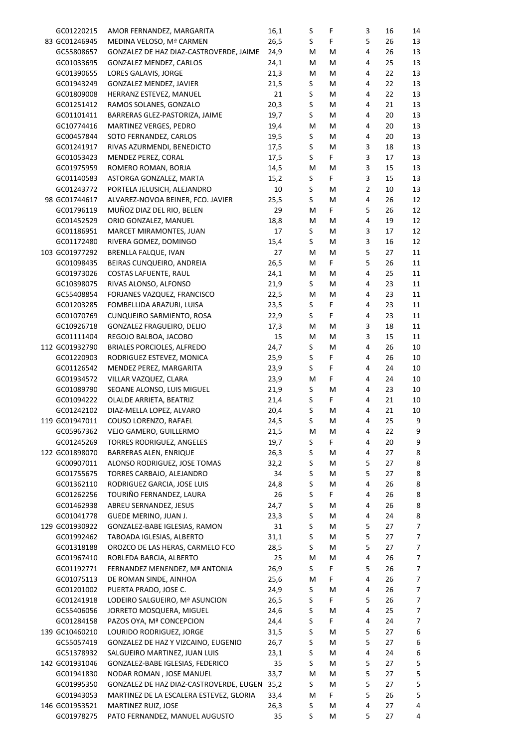| GC01220215               | AMOR FERNANDEZ, MARGARITA                                  | 16,1       | $\sf S$ | F      | 3              | 16       | 14     |
|--------------------------|------------------------------------------------------------|------------|---------|--------|----------------|----------|--------|
| 83 GC01246945            | MEDINA VELOSO, Mª CARMEN                                   | 26,5       | S       | F      | 5              | 26       | 13     |
| GC55808657               | GONZALEZ DE HAZ DIAZ-CASTROVERDE, JAIME                    | 24,9       | M       | M      | 4              | 26       | 13     |
| GC01033695               | GONZALEZ MENDEZ, CARLOS                                    | 24,1       | M       | M      | 4              | 25       | 13     |
| GC01390655               | LORES GALAVIS, JORGE                                       | 21,3       | M       | M      | 4              | 22       | 13     |
| GC01943249               | GONZALEZ MENDEZ, JAVIER                                    | 21,5       | S       | M      | 4              | 22       | 13     |
| GC01809008               | HERRANZ ESTEVEZ, MANUEL                                    | 21         | S       | M      | 4              | 22       | 13     |
| GC01251412               | RAMOS SOLANES, GONZALO                                     | 20,3       | $\sf S$ | M      | 4              | 21       | 13     |
| GC01101411               | BARRERAS GLEZ-PASTORIZA, JAIME                             | 19,7       | S       | M      | 4              | 20       | 13     |
| GC10774416               | MARTINEZ VERGES, PEDRO                                     | 19,4       | M       | M      | 4              | 20       | 13     |
| GC00457844               | SOTO FERNANDEZ, CARLOS                                     | 19,5       | S       | М      | 4              | 20       | 13     |
| GC01241917               | RIVAS AZURMENDI, BENEDICTO                                 | 17,5       | S       | М      | 3              | 18       | 13     |
| GC01053423               | MENDEZ PEREZ, CORAL                                        | 17,5       | S       | F      | 3              | 17       | 13     |
| GC01975959               | ROMERO ROMAN, BORJA                                        | 14,5       | M       | M      | 3              | 15       | 13     |
| GC01140583               | ASTORGA GONZALEZ, MARTA                                    | 15,2       | S       | F      | 3              | 15       | 13     |
| GC01243772               | PORTELA JELUSICH, ALEJANDRO                                | 10         | S       | M      | $\overline{2}$ | 10       | 13     |
| 98 GC01744617            | ALVAREZ-NOVOA BEINER, FCO. JAVIER                          | 25,5       | S       | М      | 4              | 26       | 12     |
| GC01796119               | MUÑOZ DIAZ DEL RIO, BELEN                                  | 29         | M       | F.     | 5              | 26       | 12     |
| GC01452529               | ORIO GONZALEZ, MANUEL                                      | 18,8       | M       | M      | 4              | 19       | 12     |
| GC01186951               | MARCET MIRAMONTES, JUAN                                    | 17         | S       | M      | 3              | 17       | 12     |
| GC01172480               | RIVERA GOMEZ, DOMINGO                                      | 15,4       | S       | М      | 3              | 16       | 12     |
| 103 GC01977292           | BRENLLA FALQUE, IVAN                                       | 27         | M       | М      | 5              | 27       | 11     |
| GC01098435               | BEIRAS CUNQUEIRO, ANDREIA                                  | 26,5       | M       | F.     | 5              | 26       | 11     |
| GC01973026               | COSTAS LAFUENTE, RAUL                                      | 24,1       | M       | M      | 4              | 25       | 11     |
| GC10398075               | RIVAS ALONSO, ALFONSO                                      | 21,9       | S       | М      | 4              | 23       | 11     |
| GC55408854               | FORJANES VAZQUEZ, FRANCISCO                                | 22,5       | M       | М      | 4              | 23       | 11     |
| GC01203285               | FOMBELLIDA ARAZURI, LUISA                                  | 23,5       | S       | F      | 4              | 23       | 11     |
| GC01070769               | CUNQUEIRO SARMIENTO, ROSA                                  | 22,9       | S       | F      | 4              | 23       | 11     |
| GC10926718               | GONZALEZ FRAGUEIRO, DELIO                                  | 17,3       | M       | M      | 3              | 18       | 11     |
| GC01111404               | REGOJO BALBOA, JACOBO                                      | 15         | M       | М      | 3              | 15       | 11     |
| 112 GC01932790           | BRIALES PORCIOLES, ALFREDO                                 | 24,7       | S       | M      | 4              | 26       | 10     |
| GC01220903               | RODRIGUEZ ESTEVEZ, MONICA                                  | 25,9       | $\sf S$ | F      | 4              | 26       | 10     |
| GC01126542               | MENDEZ PEREZ, MARGARITA                                    | 23,9       | S       | F      | 4              | 24       | 10     |
| GC01934572               | VILLAR VAZQUEZ, CLARA                                      | 23,9       | M       | F      | 4              | 24       | 10     |
| GC01089790               | SEOANE ALONSO, LUIS MIGUEL                                 | 21,9       | S       | M      | 4              | 23       | 10     |
| GC01094222               | OLALDE ARRIETA, BEATRIZ                                    | 21,4       | S       | F.     | 4              | 21       | 10     |
| GC01242102               | DIAZ-MELLA LOPEZ, ALVARO                                   | 20,4       | $\sf S$ | м      | 4              | 21       | 10     |
| 119 GC01947011           | COUSO LORENZO, RAFAEL                                      | 24,5       | $\sf S$ | M      | 4              | 25       | 9      |
| GC05967362               | VEJO GAMERO, GUILLERMO                                     | 21,5       | M       | M      | 4              | 22       | 9      |
| GC01245269               | TORRES RODRIGUEZ, ANGELES                                  | 19,7       | S       | F      | 4              | 20       | 9      |
| 122 GC01898070           | BARRERAS ALEN, ENRIQUE                                     | 26,3       | S       | М      | 4              | 27       | 8      |
| GC00907011               | ALONSO RODRIGUEZ, JOSE TOMAS                               | 32,2       | S       | M      | 5              | 27       | 8      |
| GC01755675               | TORRES CARBAJO, ALEJANDRO                                  | 34         | S       | M      | 5              | 27       | 8      |
| GC01362110               | RODRIGUEZ GARCIA, JOSE LUIS                                | 24,8       | S       | M      | 4              | 26       | 8      |
| GC01262256               | TOURIÑO FERNANDEZ, LAURA                                   | 26         | S       | F      | 4              | 26       | 8      |
| GC01462938               | ABREU SERNANDEZ, JESUS                                     | 24,7       | S       | M      | 4              | 26       | 8      |
| GC01041778               | GUEDE MERINO, JUAN J.                                      | 23,3       | S       | M      | 4              | 24       | 8      |
| 129 GC01930922           | GONZALEZ-BABE IGLESIAS, RAMON<br>TABOADA IGLESIAS, ALBERTO | 31         | S<br>S  | M<br>M | 5<br>5         | 27<br>27 | 7<br>7 |
| GC01992462               |                                                            | 31,1       |         |        | 5              |          |        |
| GC01318188               | OROZCO DE LAS HERAS, CARMELO FCO                           | 28,5       | S       | M      | 4              | 27       | 7      |
| GC01967410               | ROBLEDA BARCIA, ALBERTO                                    | 25<br>26,9 | M<br>S  | M<br>F | 5              | 26<br>26 | 7<br>7 |
| GC01192771               | FERNANDEZ MENENDEZ, Mª ANTONIA                             | 25,6       | M       | F      | 4              | 26       | 7      |
| GC01075113<br>GC01201002 | DE ROMAN SINDE, AINHOA<br>PUERTA PRADO, JOSE C.            | 24,9       | S       | M      | 4              | 26       | 7      |
| GC01241918               | LODEIRO SALGUEIRO, Mª ASUNCION                             | 26,5       | S       | F      | 5              | 26       | 7      |
| GC55406056               | JORRETO MOSQUERA, MIGUEL                                   | 24,6       | S       | M      | 4              | 25       | 7      |
| GC01284158               | PAZOS OYA, Mª CONCEPCION                                   | 24,4       | S       | F      | 4              | 24       | 7      |
| 139 GC10460210           | LOURIDO RODRIGUEZ, JORGE                                   | 31,5       | S       | M      | 5              | 27       | 6      |
| GC55057419               | GONZALEZ DE HAZ Y VIZCAINO, EUGENIO                        | 26,7       | S       | M      | 5              | 27       | 6      |
| GC51378932               | SALGUEIRO MARTINEZ, JUAN LUIS                              | 23,1       | S       | M      | 4              | 24       | 6      |
| 142 GC01931046           | GONZALEZ-BABE IGLESIAS, FEDERICO                           | 35         | S       | M      | 5              | 27       | 5      |
| GC01941830               | NODAR ROMAN, JOSE MANUEL                                   | 33,7       | M       | М      | 5              | 27       | 5      |
| GC01995350               | GONZALEZ DE HAZ DIAZ-CASTROVERDE, EUGEN 35,2               |            | S       | M      | 5              | 27       | 5      |
| GC01943053               | MARTINEZ DE LA ESCALERA ESTEVEZ, GLORIA                    | 33,4       | M       | F      | 5              | 26       | 5      |
| 146 GC01953521           | MARTINEZ RUIZ, JOSE                                        | 26,3       | S       | м      | 4              | 27       | 4      |
| GC01978275               | PATO FERNANDEZ, MANUEL AUGUSTO                             | 35         | S       | М      | 5              | 27       | 4      |
|                          |                                                            |            |         |        |                |          |        |